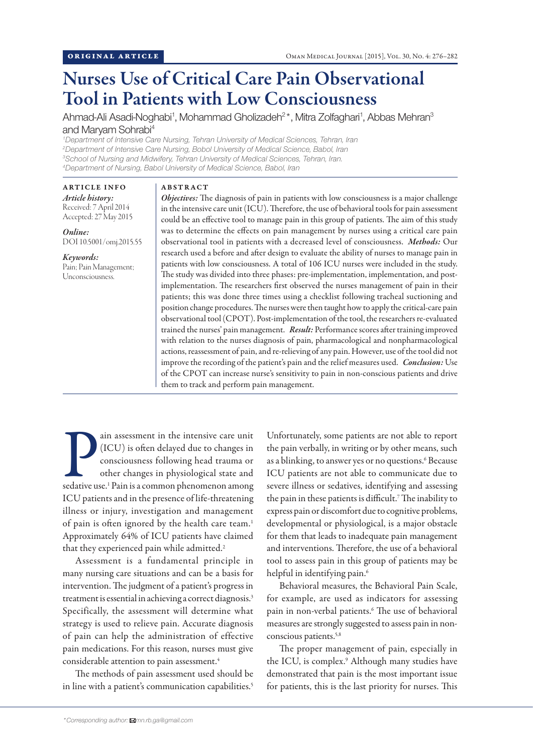# Nurses Use of Critical Care Pain Observational Tool in Patients with Low Consciousness

Ahmad-Ali Asadi-Noghabi<sup>1</sup>, Mohammad Gholizadeh<sup>2\*</sup>, Mitra Zolfaghari<sup>1</sup>, Abbas Mehran<sup>3</sup> and Maryam Sohrabi4

 *Department of Intensive Care Nursing, Tehran University of Medical Sciences, Tehran, Iran Department of Intensive Care Nursing, Bobol University of Medical Science, Babol, Iran School of Nursing and Midwifery, Tehran University of Medical Sciences, Tehran, Iran. Department of Nursing, Babol University of Medical Science, Babol, Iran*

#### ARTICLE INFO

#### ABSTRACT

*Article history:*  Received: 7 April 2014 Accepted: 27 May 2015

*Online:* DOI 10.5001/omj.2015.55

*Keywords:*  Pain; Pain Management; Unconsciousness.

*Objectives:* The diagnosis of pain in patients with low consciousness is a major challenge in the intensive care unit (ICU). Therefore, the use of behavioral tools for pain assessment could be an effective tool to manage pain in this group of patients. The aim of this study was to determine the effects on pain management by nurses using a critical care pain observational tool in patients with a decreased level of consciousness. *Methods:* Our research used a before and after design to evaluate the ability of nurses to manage pain in patients with low consciousness. A total of 106 ICU nurses were included in the study. The study was divided into three phases: pre-implementation, implementation, and postimplementation. The researchers first observed the nurses management of pain in their patients; this was done three times using a checklist following tracheal suctioning and position change procedures. The nurses were then taught how to apply the critical-care pain observational tool (CPOT). Post-implementation of the tool, the researchers re-evaluated trained the nurses' pain management. *Result:* Performance scores after training improved with relation to the nurses diagnosis of pain, pharmacological and nonpharmacological actions, reassessment of pain, and re-relieving of any pain. However, use of the tool did not improve the recording of the patient's pain and the relief measures used. *Conclusion:* Use of the CPOT can increase nurse's sensitivity to pain in non-conscious patients and drive them to track and perform pain management.

ain assessment in the intensive care unit<br>(ICU) is often delayed due to changes in<br>consciousness following head trauma or<br>other changes in physiological state and<br>sedative use.<sup>1</sup> Pain is a common phenomenon among ain assessment in the intensive care unit (ICU) is often delayed due to changes in consciousness following head trauma or other changes in physiological state and ICU patients and in the presence of life-threatening illness or injury, investigation and management of pain is often ignored by the health care team.<sup>1</sup> Approximately 64% of ICU patients have claimed that they experienced pain while admitted.<sup>2</sup>

Assessment is a fundamental principle in many nursing care situations and can be a basis for intervention. The judgment of a patient's progress in treatment is essential in achieving a correct diagnosis.<sup>3</sup> Specifically, the assessment will determine what strategy is used to relieve pain. Accurate diagnosis of pain can help the administration of effective pain medications. For this reason, nurses must give considerable attention to pain assessment.<sup>4</sup>

The methods of pain assessment used should be in line with a patient's communication capabilities.<sup>5</sup> Unfortunately, some patients are not able to report the pain verbally, in writing or by other means, such as a blinking, to answer yes or no questions.<sup>6</sup> Because ICU patients are not able to communicate due to severe illness or sedatives, identifying and assessing the pain in these patients is difficult.7 The inability to express pain or discomfort due to cognitive problems, developmental or physiological, is a major obstacle for them that leads to inadequate pain management and interventions. Therefore, the use of a behavioral tool to assess pain in this group of patients may be helpful in identifying pain.<sup>6</sup>

Behavioral measures, the Behavioral Pain Scale, for example, are used as indicators for assessing pain in non-verbal patients.6 The use of behavioral measures are strongly suggested to assess pain in nonconscious patients.5,8

The proper management of pain, especially in the ICU, is complex.<sup>9</sup> Although many studies have demonstrated that pain is the most important issue for patients, this is the last priority for nurses. This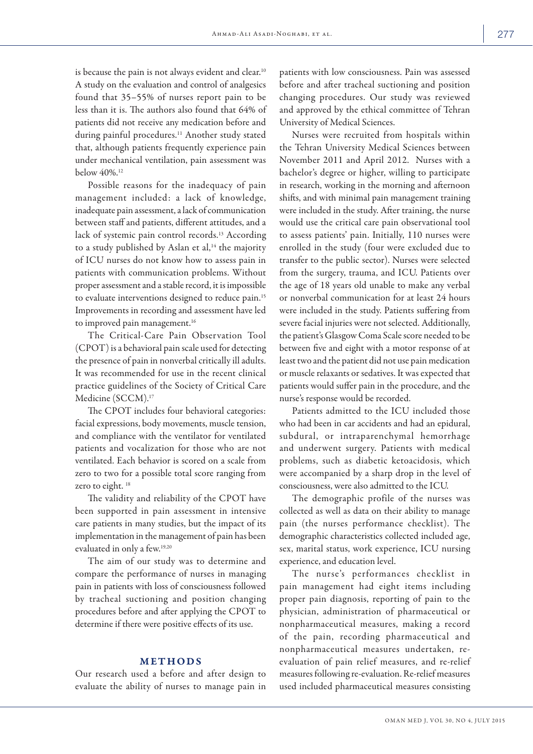is because the pain is not always evident and clear.<sup>10</sup> A study on the evaluation and control of analgesics found that 35–55% of nurses report pain to be less than it is. The authors also found that 64% of patients did not receive any medication before and during painful procedures.<sup>11</sup> Another study stated that, although patients frequently experience pain under mechanical ventilation, pain assessment was below 40%.12

Possible reasons for the inadequacy of pain management included: a lack of knowledge, inadequate pain assessment, a lack of communication between staff and patients, different attitudes, and a lack of systemic pain control records.13 According to a study published by Aslan et al,<sup>14</sup> the majority of ICU nurses do not know how to assess pain in patients with communication problems. Without proper assessment and a stable record, it is impossible to evaluate interventions designed to reduce pain.15 Improvements in recording and assessment have led to improved pain management.<sup>16</sup>

The Critical-Care Pain Observation Tool (CPOT) is a behavioral pain scale used for detecting the presence of pain in nonverbal critically ill adults. It was recommended for use in the recent clinical practice guidelines of the Society of Critical Care Medicine (SCCM).<sup>17</sup>

The CPOT includes four behavioral categories: facial expressions, body movements, muscle tension, and compliance with the ventilator for ventilated patients and vocalization for those who are not ventilated. Each behavior is scored on a scale from zero to two for a possible total score ranging from zero to eight.<sup>18</sup>

The validity and reliability of the CPOT have been supported in pain assessment in intensive care patients in many studies, but the impact of its implementation in the management of pain has been evaluated in only a few.19,20

The aim of our study was to determine and compare the performance of nurses in managing pain in patients with loss of consciousness followed by tracheal suctioning and position changing procedures before and after applying the CPOT to determine if there were positive effects of its use.

# METHODS

Our research used a before and after design to evaluate the ability of nurses to manage pain in patients with low consciousness. Pain was assessed before and after tracheal suctioning and position changing procedures. Our study was reviewed and approved by the ethical committee of Tehran University of Medical Sciences.

Nurses were recruited from hospitals within the Tehran University Medical Sciences between November 2011 and April 2012. Nurses with a bachelor's degree or higher, willing to participate in research, working in the morning and afternoon shifts, and with minimal pain management training were included in the study. After training, the nurse would use the critical care pain observational tool to assess patients' pain. Initially, 110 nurses were enrolled in the study (four were excluded due to transfer to the public sector). Nurses were selected from the surgery, trauma, and ICU. Patients over the age of 18 years old unable to make any verbal or nonverbal communication for at least 24 hours were included in the study. Patients suffering from severe facial injuries were not selected. Additionally, the patient's Glasgow Coma Scale score needed to be between five and eight with a motor response of at least two and the patient did not use pain medication or muscle relaxants or sedatives. It was expected that patients would suffer pain in the procedure, and the nurse's response would be recorded.

Patients admitted to the ICU included those who had been in car accidents and had an epidural, subdural, or intraparenchymal hemorrhage and underwent surgery. Patients with medical problems, such as diabetic ketoacidosis, which were accompanied by a sharp drop in the level of consciousness, were also admitted to the ICU.

The demographic profile of the nurses was collected as well as data on their ability to manage pain (the nurses performance checklist). The demographic characteristics collected included age, sex, marital status, work experience, ICU nursing experience, and education level.

The nurse's performances checklist in pain management had eight items including proper pain diagnosis, reporting of pain to the physician, administration of pharmaceutical or nonpharmaceutical measures, making a record of the pain, recording pharmaceutical and nonpharmaceutical measures undertaken, reevaluation of pain relief measures, and re-relief measures following re-evaluation. Re-relief measures used included pharmaceutical measures consisting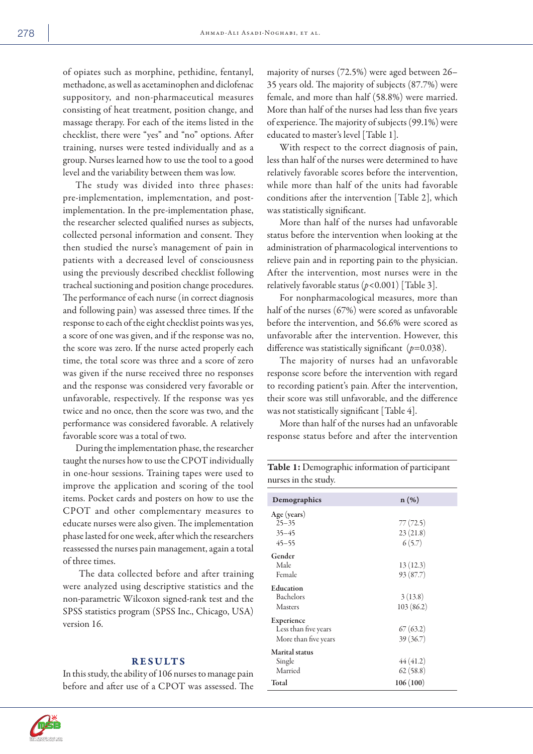of opiates such as morphine, pethidine, fentanyl, methadone, as well as acetaminophen and diclofenac suppository, and non-pharmaceutical measures consisting of heat treatment, position change, and massage therapy. For each of the items listed in the checklist, there were "yes" and "no" options. After training, nurses were tested individually and as a group. Nurses learned how to use the tool to a good level and the variability between them was low.

The study was divided into three phases: pre-implementation, implementation, and postimplementation. In the pre-implementation phase, the researcher selected qualified nurses as subjects, collected personal information and consent. They then studied the nurse's management of pain in patients with a decreased level of consciousness using the previously described checklist following tracheal suctioning and position change procedures. The performance of each nurse (in correct diagnosis and following pain) was assessed three times. If the response to each of the eight checklist points was yes, a score of one was given, and if the response was no, the score was zero. If the nurse acted properly each time, the total score was three and a score of zero was given if the nurse received three no responses and the response was considered very favorable or unfavorable, respectively. If the response was yes twice and no once, then the score was two, and the performance was considered favorable. A relatively favorable score was a total of two.

During the implementation phase, the researcher taught the nurses how to use the CPOT individually in one-hour sessions. Training tapes were used to improve the application and scoring of the tool items. Pocket cards and posters on how to use the CPOT and other complementary measures to educate nurses were also given. The implementation phase lasted for one week, after which the researchers reassessed the nurses pain management, again a total of three times.

 The data collected before and after training were analyzed using descriptive statistics and the non-parametric Wilcoxon signed-rank test and the SPSS statistics program (SPSS Inc., Chicago, USA) version 16.

## RESULTS

In this study, the ability of 106 nurses to manage pain before and after use of a CPOT was assessed. The majority of nurses (72.5%) were aged between 26– 35 years old. The majority of subjects (87.7%) were female, and more than half (58.8%) were married. More than half of the nurses had less than five years of experience. The majority of subjects (99.1%) were educated to master's level [Table 1].

With respect to the correct diagnosis of pain, less than half of the nurses were determined to have relatively favorable scores before the intervention, while more than half of the units had favorable conditions after the intervention [Table 2], which was statistically significant.

More than half of the nurses had unfavorable status before the intervention when looking at the administration of pharmacological interventions to relieve pain and in reporting pain to the physician. After the intervention, most nurses were in the relatively favorable status (*p<*0.001) [Table 3].

For nonpharmacological measures, more than half of the nurses (67%) were scored as unfavorable before the intervention, and 56.6% were scored as unfavorable after the intervention. However, this difference was statistically significant (*p*=0.038).

The majority of nurses had an unfavorable response score before the intervention with regard to recording patient's pain. After the intervention, their score was still unfavorable, and the difference was not statistically significant [Table 4].

More than half of the nurses had an unfavorable response status before and after the intervention

Table 1: Demographic information of participant nurses in the study.

| Demographics          | $n(\%)$   |
|-----------------------|-----------|
| Age (years)           |           |
| $25 - 35$             | 77 (72.5) |
| $35 - 45$             | 23(21.8)  |
| $45 - 55$             | 6(5.7)    |
| Gender                |           |
| Male                  | 13(12.3)  |
| Female                | 93 (87.7) |
| Education             |           |
| Bachelors             | 3(13.8)   |
| <b>Masters</b>        | 103(86.2) |
| Experience            |           |
| Less than five years  | 67(63.2)  |
| More than five years  | 39(36.7)  |
| <b>Marital</b> status |           |
| Single                | 44(41.2)  |
| Married               | 62(58.8)  |
| Total                 | 106(100)  |

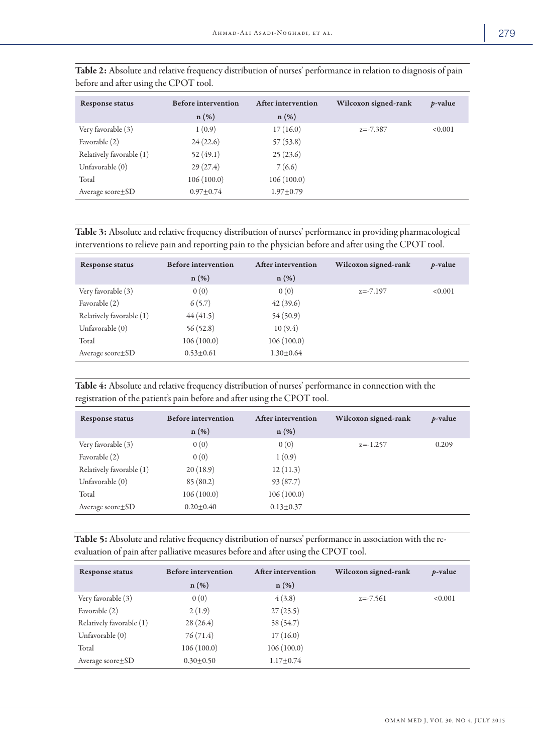| <b>Response status</b>   | <b>Before intervention</b><br>$n(\%)$ | After intervention<br>$n(\%)$ | Wilcoxon signed-rank | <i>p</i> -value |
|--------------------------|---------------------------------------|-------------------------------|----------------------|-----------------|
| Very favorable (3)       | 1(0.9)                                | 17(16.0)                      | $z = -7.387$         | <0.001          |
| Favorable (2)            | 24(22.6)                              | 57(53.8)                      |                      |                 |
| Relatively favorable (1) | 52(49.1)                              | 25(23.6)                      |                      |                 |
| Unfavorable (0)          | 29(27.4)                              | 7(6.6)                        |                      |                 |
| Total                    | 106(100.0)                            | 106(100.0)                    |                      |                 |
| Average $score \pm SD$   | $0.97 \pm 0.74$                       | $1.97 \pm 0.79$               |                      |                 |

Table 2: Absolute and relative frequency distribution of nurses' performance in relation to diagnosis of pain before and after using the CPOT tool.

Table 3: Absolute and relative frequency distribution of nurses' performance in providing pharmacological interventions to relieve pain and reporting pain to the physician before and after using the CPOT tool.

| <b>Response status</b>   | <b>Before intervention</b> | After intervention | Wilcoxon signed-rank | $p$ -value |
|--------------------------|----------------------------|--------------------|----------------------|------------|
|                          | $n(\%)$                    | $n(\%)$            |                      |            |
| Very favorable (3)       | 0(0)                       | 0(0)               | $z = -7.197$         | < 0.001    |
| Favorable (2)            | 6(5.7)                     | 42(39.6)           |                      |            |
| Relatively favorable (1) | 44(41.5)                   | 54(50.9)           |                      |            |
| Unfavorable $(0)$        | 56(52.8)                   | 10(9.4)            |                      |            |
| Total                    | 106(100.0)                 | 106(100.0)         |                      |            |
| Average $score \pm SD$   | $0.53 + 0.61$              | $1.30 \pm 0.64$    |                      |            |

Table 4: Absolute and relative frequency distribution of nurses' performance in connection with the registration of the patient's pain before and after using the CPOT tool.

| <b>Response status</b>   | <b>Before intervention</b><br>$n(\%)$ | After intervention<br>$n(\%)$ | Wilcoxon signed-rank | $p$ -value |
|--------------------------|---------------------------------------|-------------------------------|----------------------|------------|
| Very favorable (3)       | 0(0)                                  | 0(0)                          | $z=-1.257$           | 0.209      |
| Favorable (2)            | 0(0)                                  | 1(0.9)                        |                      |            |
| Relatively favorable (1) | 20(18.9)                              | 12(11.3)                      |                      |            |
| Unfavorable (0)          | 85(80.2)                              | 93(87.7)                      |                      |            |
| Total                    | 106(100.0)                            | 106(100.0)                    |                      |            |
| Average $score \pm SD$   | $0.20 \pm 0.40$                       | $0.13 \pm 0.37$               |                      |            |

Table 5: Absolute and relative frequency distribution of nurses' performance in association with the reevaluation of pain after palliative measures before and after using the CPOT tool.

| <b>Response status</b>   | <b>Before intervention</b><br>$n(\%)$ | After intervention<br>$n(\%)$ | Wilcoxon signed-rank | $p$ -value |
|--------------------------|---------------------------------------|-------------------------------|----------------------|------------|
| Very favorable (3)       | 0(0)                                  | 4(3.8)                        | $z = -7.561$         | < 0.001    |
| Favorable (2)            | 2(1.9)                                | 27(25.5)                      |                      |            |
| Relatively favorable (1) | 28(26.4)                              | 58 (54.7)                     |                      |            |
| Unfavorable $(0)$        | 76(71.4)                              | 17(16.0)                      |                      |            |
| Total                    | 106(100.0)                            | 106(100.0)                    |                      |            |
| Average $score \pm SD$   | $0.30 \pm 0.50$                       | $1.17 \pm 0.74$               |                      |            |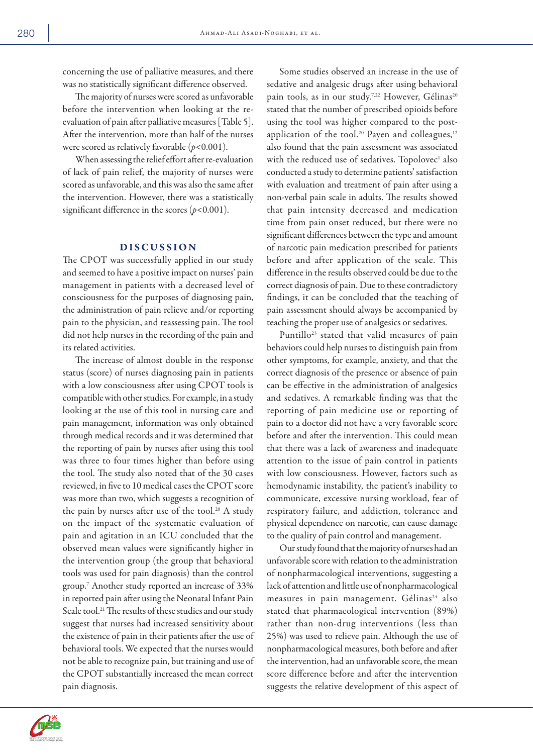concerning the use of palliative measures, and there was no statistically significant difference observed.

The majority of nurses were scored as unfavorable before the intervention when looking at the reevaluation of pain after palliative measures [Table 5]. After the intervention, more than half of the nurses were scored as relatively favorable (*p*<0.001).

When assessing the relief effort after re-evaluation of lack of pain relief, the majority of nurses were scored as unfavorable, and this was also the same after the intervention. However, there was a statistically significant difference in the scores  $(p<0.001)$ .

### DISCUSSION

The CPOT was successfully applied in our study and seemed to have a positive impact on nurses' pain management in patients with a decreased level of consciousness for the purposes of diagnosing pain, the administration of pain relieve and/or reporting pain to the physician, and reassessing pain. The tool did not help nurses in the recording of the pain and its related activities.

The increase of almost double in the response status (score) of nurses diagnosing pain in patients with a low consciousness after using CPOT tools is compatible with other studies. For example, in a study looking at the use of this tool in nursing care and pain management, information was only obtained through medical records and it was determined that the reporting of pain by nurses after using this tool was three to four times higher than before using the tool. The study also noted that of the 30 cases reviewed, in five to 10 medical cases the CPOT score was more than two, which suggests a recognition of the pain by nurses after use of the tool.<sup>20</sup> A study on the impact of the systematic evaluation of pain and agitation in an ICU concluded that the observed mean values were significantly higher in the intervention group (the group that behavioral tools was used for pain diagnosis) than the control group.7 Another study reported an increase of 33% in reported pain after using the Neonatal Infant Pain Scale tool.<sup>21</sup> The results of these studies and our study suggest that nurses had increased sensitivity about the existence of pain in their patients after the use of behavioral tools. We expected that the nurses would not be able to recognize pain, but training and use of the CPOT substantially increased the mean correct pain diagnosis.

Some studies observed an increase in the use of sedative and analgesic drugs after using behavioral pain tools, as in our study.<sup>7,22</sup> However, Gélinas<sup>20</sup> stated that the number of prescribed opioids before using the tool was higher compared to the postapplication of the tool.<sup>20</sup> Payen and colleagues, $12$ also found that the pain assessment was associated with the reduced use of sedatives. Topolovec<sup>1</sup> also conducted a study to determine patients' satisfaction with evaluation and treatment of pain after using a non-verbal pain scale in adults. The results showed that pain intensity decreased and medication time from pain onset reduced, but there were no significant differences between the type and amount of narcotic pain medication prescribed for patients before and after application of the scale. This difference in the results observed could be due to the correct diagnosis of pain. Due to these contradictory findings, it can be concluded that the teaching of pain assessment should always be accompanied by teaching the proper use of analgesics or sedatives.

Puntillo<sup>23</sup> stated that valid measures of pain behaviors could help nurses to distinguish pain from other symptoms, for example, anxiety, and that the correct diagnosis of the presence or absence of pain can be effective in the administration of analgesics and sedatives. A remarkable finding was that the reporting of pain medicine use or reporting of pain to a doctor did not have a very favorable score before and after the intervention. This could mean that there was a lack of awareness and inadequate attention to the issue of pain control in patients with low consciousness. However, factors such as hemodynamic instability, the patient's inability to communicate, excessive nursing workload, fear of respiratory failure, and addiction, tolerance and physical dependence on narcotic, can cause damage to the quality of pain control and management.

Our study found that the majority of nurses had an unfavorable score with relation to the administration of nonpharmacological interventions, suggesting a lack of attention and little use of nonpharmacological measures in pain management. Gélinas<sup>24</sup> also stated that pharmacological intervention (89%) rather than non-drug interventions (less than 25%) was used to relieve pain. Although the use of nonpharmacological measures, both before and after the intervention, had an unfavorable score, the mean score difference before and after the intervention suggests the relative development of this aspect of

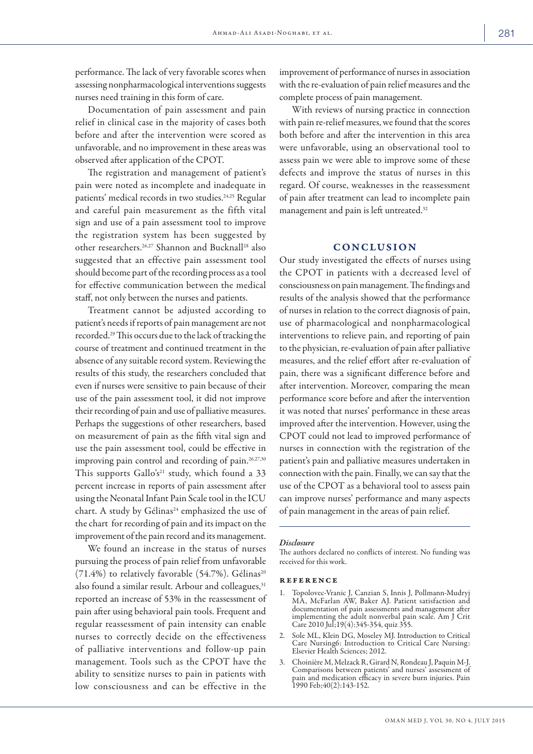performance. The lack of very favorable scores when assessing nonpharmacological interventions suggests nurses need training in this form of care.

Documentation of pain assessment and pain relief in clinical case in the majority of cases both before and after the intervention were scored as unfavorable, and no improvement in these areas was observed after application of the CPOT.

The registration and management of patient's pain were noted as incomplete and inadequate in patients' medical records in two studies.<sup>24,25</sup> Regular and careful pain measurement as the fifth vital sign and use of a pain assessment tool to improve the registration system has been suggested by other researchers.26,27 Shannon and Bucknall28 also suggested that an effective pain assessment tool should become part of the recording process as a tool for effective communication between the medical staff, not only between the nurses and patients.

Treatment cannot be adjusted according to patient's needs if reports of pain management are not recorded.29 This occurs due to the lack of tracking the course of treatment and continued treatment in the absence of any suitable record system. Reviewing the results of this study, the researchers concluded that even if nurses were sensitive to pain because of their use of the pain assessment tool, it did not improve their recording of pain and use of palliative measures. Perhaps the suggestions of other researchers, based on measurement of pain as the fifth vital sign and use the pain assessment tool, could be effective in improving pain control and recording of pain.<sup>26,27,30</sup> This supports Gallo's<sup>21</sup> study, which found a 33 percent increase in reports of pain assessment after using the Neonatal Infant Pain Scale tool in the ICU chart. A study by Gélinas<sup>24</sup> emphasized the use of the chart for recording of pain and its impact on the improvement of the pain record and its management.

We found an increase in the status of nurses pursuing the process of pain relief from unfavorable  $(71.4\%)$  to relatively favorable  $(54.7\%)$ . Gélinas<sup>20</sup> also found a similar result. Arbour and colleagues,<sup>31</sup> reported an increase of 53% in the reassessment of pain after using behavioral pain tools. Frequent and regular reassessment of pain intensity can enable nurses to correctly decide on the effectiveness of palliative interventions and follow-up pain management. Tools such as the CPOT have the ability to sensitize nurses to pain in patients with low consciousness and can be effective in the

improvement of performance of nurses in association with the re-evaluation of pain relief measures and the complete process of pain management.

With reviews of nursing practice in connection with pain re-relief measures, we found that the scores both before and after the intervention in this area were unfavorable, using an observational tool to assess pain we were able to improve some of these defects and improve the status of nurses in this regard. Of course, weaknesses in the reassessment of pain after treatment can lead to incomplete pain management and pain is left untreated.32

### **CONCLUSION**

Our study investigated the effects of nurses using the CPOT in patients with a decreased level of consciousness on pain management. The findings and results of the analysis showed that the performance of nurses in relation to the correct diagnosis of pain, use of pharmacological and nonpharmacological interventions to relieve pain, and reporting of pain to the physician, re-evaluation of pain after palliative measures, and the relief effort after re-evaluation of pain, there was a significant difference before and after intervention. Moreover, comparing the mean performance score before and after the intervention it was noted that nurses' performance in these areas improved after the intervention. However, using the CPOT could not lead to improved performance of nurses in connection with the registration of the patient's pain and palliative measures undertaken in connection with the pain. Finally, we can say that the use of the CPOT as a behavioral tool to assess pain can improve nurses' performance and many aspects of pain management in the areas of pain relief.

#### *Disclosure*

The authors declared no conflicts of interest. No funding was received for this work.

#### reference

- 1. Topolovec-Vranic J, Canzian S, Innis J, Pollmann-Mudryj MA, McFarlan AW, Baker AJ. Patient satisfaction and documentation of pain assessments and management after implementing the adult nonverbal pain scale. Am J Crit Care 2010 Jul;19(4):345-354, quiz 355.
- 2. Sole ML, Klein DG, Moseley MJ. Introduction to Critical Care Nursing6: Introduction to Critical Care Nursing: Elsevier Health Sciences; 2012.
- 3. Choinière M, Melzack R, Girard N, Rondeau J, Paquin M-J. Comparisons between patients' and nurses' assessment of pain and medication efficacy in severe burn injuries. Pain 1990 Feb;40(2):143-152.